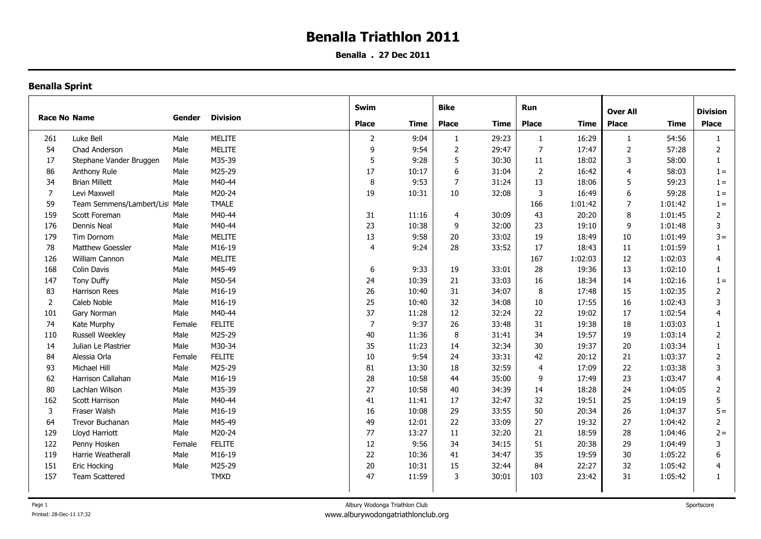**Benalla . 27 Dec 2011**

|                     |                                |        |                 | Swim           |       | <b>Bike</b>    |             | Run            |             | <b>Over All</b>         |         |                 |
|---------------------|--------------------------------|--------|-----------------|----------------|-------|----------------|-------------|----------------|-------------|-------------------------|---------|-----------------|
| <b>Race No Name</b> |                                | Gender | <b>Division</b> |                |       |                |             |                |             |                         |         | <b>Division</b> |
|                     |                                |        |                 | <b>Place</b>   | Time  | <b>Place</b>   | <b>Time</b> | <b>Place</b>   | <b>Time</b> | Place                   | Time    | <b>Place</b>    |
| 261                 | Luke Bell                      | Male   | MELITE          | $\overline{2}$ | 9:04  | -1             | 29:23       | -1             | 16:29       | 1                       | 54:56   | 1               |
| 54                  | Chad Anderson                  | Male   | <b>MELITE</b>   | 9              | 9:54  | 2              | 29:47       | $\overline{7}$ | 17:47       | $\overline{2}$          | 57:28   | $\overline{2}$  |
| 17                  | Stephane Vander Bruggen        | Male   | M35-39          | 5              | 9:28  | 5              | 30:30       | 11             | 18:02       | 3                       | 58:00   | $\mathbf{1}$    |
| 86                  | Anthony Rule                   | Male   | M25-29          | 17             | 10:17 | 6              | 31:04       | $\overline{2}$ | 16:42       | $\overline{\mathbf{4}}$ | 58:03   | $1 =$           |
| 34                  | <b>Brian Millett</b>           | Male   | M40-44          | 8              | 9:53  | $\overline{7}$ | 31:24       | 13             | 18:06       | 5                       | 59:23   | $1 =$           |
| $\overline{7}$      | Levi Maxwell                   | Male   | M20-24          | 19             | 10:31 | 10             | 32:08       | $\overline{3}$ | 16:49       | 6                       | 59:28   | $1 =$           |
| 59                  | Team Semmens/Lambert/List Male |        | <b>TMALE</b>    |                |       |                |             | 166            | 1:01:42     | $\overline{7}$          | 1:01:42 | $1 =$           |
| 159                 | Scott Foreman                  | Male   | M40-44          | 31             | 11:16 | 4              | 30:09       | 43             | 20:20       | 8                       | 1:01:45 | $\overline{2}$  |
| 176                 | Dennis Neal                    | Male   | M40-44          | 23             | 10:38 | 9              | 32:00       | 23             | 19:10       | 9                       | 1:01:48 | 3               |
| 179                 | Tim Dornom                     | Male   | <b>MELITE</b>   | 13             | 9:58  | 20             | 33:02       | 19             | 18:49       | 10                      | 1:01:49 | $3 =$           |
| 78                  | Matthew Goessler               | Male   | M16-19          | $\overline{4}$ | 9:24  | 28             | 33:52       | 17             | 18:43       | 11                      | 1:01:59 |                 |
| 126                 | William Cannon                 | Male   | <b>MELITE</b>   |                |       |                |             | 167            | 1:02:03     | $12\,$                  | 1:02:03 | 4               |
| 168                 | <b>Colin Davis</b>             | Male   | M45-49          | 6              | 9:33  | 19             | 33:01       | 28             | 19:36       | 13                      | 1:02:10 | $\mathbf{1}$    |
| 147                 | Tony Duffy                     | Male   | M50-54          | 24             | 10:39 | 21             | 33:03       | 16             | 18:34       | 14                      | 1:02:16 | $1 =$           |
| 83                  | Harrison Rees                  | Male   | M16-19          | 26             | 10:40 | 31             | 34:07       | 8              | 17:48       | 15                      | 1:02:35 | $\overline{2}$  |
| $\overline{2}$      | Caleb Noble                    | Male   | M16-19          | 25             | 10:40 | 32             | 34:08       | 10             | 17:55       | 16                      | 1:02:43 | 3               |
| 101                 | Gary Norman                    | Male   | M40-44          | 37             | 11:28 | 12             | 32:24       | 22             | 19:02       | 17                      | 1:02:54 | $\overline{4}$  |
| 74                  | Kate Murphy                    | Female | <b>FELITE</b>   | $\overline{7}$ | 9:37  | 26             | 33:48       | 31             | 19:38       | 18                      | 1:03:03 | $\mathbf{1}$    |
| 110                 | <b>Russell Weekley</b>         | Male   | M25-29          | 40             | 11:36 | $\,8\,$        | 31:41       | 34             | 19:57       | 19                      | 1:03:14 | $\overline{2}$  |
| 14                  | Julian Le Plastrier            | Male   | M30-34          | 35             | 11:23 | 14             | 32:34       | 30             | 19:37       | 20                      | 1:03:34 | $\mathbf{1}$    |
| 84                  | Alessia Orla                   | Female | <b>FELITE</b>   | 10             | 9:54  | 24             | 33:31       | 42             | 20:12       | 21                      | 1:03:37 | 2               |
| 93                  | Michael Hill                   | Male   | M25-29          | 81             | 13:30 | 18             | 32:59       | $\overline{4}$ | 17:09       | 22                      | 1:03:38 | 3               |
| 62                  | Harrison Callahan              | Male   | M16-19          | 28             | 10:58 | 44             | 35:00       | 9              | 17:49       | 23                      | 1:03:47 | $\overline{4}$  |
| 80                  | Lachlan Wilson                 | Male   | M35-39          | 27             | 10:58 | 40             | 34:39       | 14             | 18:28       | 24                      | 1:04:05 | $\overline{2}$  |
| 162                 | Scott Harrison                 | Male   | M40-44          | 41             | 11:41 | 17             | 32:47       | 32             | 19:51       | 25                      | 1:04:19 | 5               |
| 3                   | Fraser Walsh                   | Male   | M16-19          | 16             | 10:08 | 29             | 33:55       | 50             | 20:34       | 26                      | 1:04:37 | $5 =$           |
| 64                  | Trevor Buchanan                | Male   | M45-49          | 49             | 12:01 | 22             | 33:09       | 27             | 19:32       | 27                      | 1:04:42 | $\overline{2}$  |
| 129                 | Lloyd Harriott                 | Male   | M20-24          | 77             | 13:27 | 11             | 32:20       | 21             | 18:59       | 28                      | 1:04:46 | $2 =$           |
| 122                 | Penny Hosken                   | Female | <b>FELITE</b>   | 12             | 9:56  | 34             | 34:15       | 51             | 20:38       | 29                      | 1:04:49 | 3               |
| 119                 | Harrie Weatherall              | Male   | M16-19          | 22             | 10:36 | 41             | 34:47       | 35             | 19:59       | 30                      | 1:05:22 | 6               |
| 151                 | Eric Hocking                   | Male   | M25-29          | 20             | 10:31 | 15             | 32:44       | 84             | 22:27       | 32                      | 1:05:42 | 4               |
| 157                 | <b>Team Scattered</b>          |        | <b>TMXD</b>     | 47             | 11:59 | 3              | 30:01       | 103            | 23:42       | 31                      | 1:05:42 | $\mathbf{1}$    |
|                     |                                |        |                 |                |       |                |             |                |             |                         |         |                 |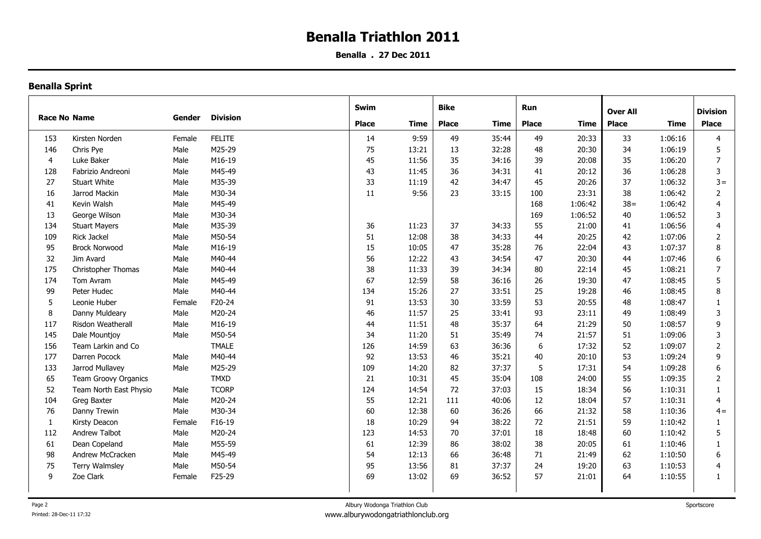**Benalla . 27 Dec 2011**

| <b>Race No Name</b> |                        |        | <b>Division</b> | Swim                 |       | <b>Bike</b>                 |       | Run                         |         | <b>Over All</b> |         | <b>Division</b> |
|---------------------|------------------------|--------|-----------------|----------------------|-------|-----------------------------|-------|-----------------------------|---------|-----------------|---------|-----------------|
|                     |                        | Gender |                 | <b>Place</b><br>Time |       | <b>Place</b><br><b>Time</b> |       | <b>Place</b><br><b>Time</b> |         | Place<br>Time   |         | <b>Place</b>    |
|                     |                        |        |                 |                      |       |                             |       |                             |         |                 |         |                 |
| 153                 | Kirsten Norden         | Female | <b>FELITE</b>   | 14                   | 9:59  | 49                          | 35:44 | 49                          | 20:33   | 33              | 1:06:16 | $\overline{4}$  |
| 146                 | Chris Pye              | Male   | M25-29          | 75                   | 13:21 | 13                          | 32:28 | 48                          | 20:30   | 34              | 1:06:19 | 5               |
| 4                   | Luke Baker             | Male   | M16-19          | 45                   | 11:56 | 35                          | 34:16 | 39                          | 20:08   | 35              | 1:06:20 | $\overline{7}$  |
| 128                 | Fabrizio Andreoni      | Male   | M45-49          | 43                   | 11:45 | 36                          | 34:31 | 41                          | 20:12   | 36              | 1:06:28 | 3               |
| 27                  | <b>Stuart White</b>    | Male   | M35-39          | 33                   | 11:19 | 42                          | 34:47 | 45                          | 20:26   | 37              | 1:06:32 | $3 =$           |
| 16                  | Jarrod Mackin          | Male   | M30-34          | 11                   | 9:56  | 23                          | 33:15 | 100                         | 23:31   | 38              | 1:06:42 | $\overline{2}$  |
| 41                  | Kevin Walsh            | Male   | M45-49          |                      |       |                             |       | 168                         | 1:06:42 | $38 =$          | 1:06:42 | 4               |
| 13                  | George Wilson          | Male   | M30-34          |                      |       |                             |       | 169                         | 1:06:52 | 40              | 1:06:52 | 3               |
| 134                 | <b>Stuart Mayers</b>   | Male   | M35-39          | 36                   | 11:23 | 37                          | 34:33 | 55                          | 21:00   | 41              | 1:06:56 | $\overline{4}$  |
| 109                 | Rick Jackel            | Male   | M50-54          | 51                   | 12:08 | 38                          | 34:33 | 44                          | 20:25   | 42              | 1:07:06 | 2               |
| 95                  | <b>Brock Norwood</b>   | Male   | M16-19          | 15                   | 10:05 | 47                          | 35:28 | 76                          | 22:04   | 43              | 1:07:37 | 8               |
| 32                  | Jim Avard              | Male   | M40-44          | 56                   | 12:22 | 43                          | 34:54 | 47                          | 20:30   | 44              | 1:07:46 | 6               |
| 175                 | Christopher Thomas     | Male   | M40-44          | 38                   | 11:33 | 39                          | 34:34 | 80                          | 22:14   | 45              | 1:08:21 | $\overline{7}$  |
| 174                 | Tom Avram              | Male   | M45-49          | 67                   | 12:59 | 58                          | 36:16 | 26                          | 19:30   | 47              | 1:08:45 | 5               |
| 99                  | Peter Hudec            | Male   | M40-44          | 134                  | 15:26 | 27                          | 33:51 | 25                          | 19:28   | 46              | 1:08:45 | 8               |
| .5                  | Leonie Huber           | Female | F20-24          | 91                   | 13:53 | 30                          | 33:59 | 53                          | 20:55   | 48              | 1:08:47 | $\mathbf{1}$    |
| 8                   | Danny Muldeary         | Male   | M20-24          | 46                   | 11:57 | 25                          | 33:41 | 93                          | 23:11   | 49              | 1:08:49 | 3               |
| 117                 | Risdon Weatherall      | Male   | M16-19          | 44                   | 11:51 | 48                          | 35:37 | 64                          | 21:29   | 50              | 1:08:57 | 9               |
| 145                 | Dale Mountjoy          | Male   | M50-54          | 34                   | 11:20 | 51                          | 35:49 | 74                          | 21:57   | 51              | 1:09:06 | 3               |
| 156                 | Team Larkin and Co     |        | <b>TMALE</b>    | 126                  | 14:59 | 63                          | 36:36 | 6                           | 17:32   | 52              | 1:09:07 | $\overline{2}$  |
| 177                 | Darren Pocock          | Male   | M40-44          | 92                   | 13:53 | 46                          | 35:21 | 40                          | 20:10   | 53              | 1:09:24 | 9               |
| 133                 | Jarrod Mullavey        | Male   | M25-29          | 109                  | 14:20 | 82                          | 37:37 | 5                           | 17:31   | 54              | 1:09:28 | 6               |
| 65                  | Team Groovy Organics   |        | <b>TMXD</b>     | 21                   | 10:31 | 45                          | 35:04 | 108                         | 24:00   | 55              | 1:09:35 | $\overline{2}$  |
| 52                  | Team North East Physio | Male   | <b>TCORP</b>    | 124                  | 14:54 | 72                          | 37:03 | 15                          | 18:34   | 56              | 1:10:31 | $\mathbf{1}$    |
| 104                 | Greg Baxter            | Male   | M20-24          | 55                   | 12:21 | 111                         | 40:06 | 12                          | 18:04   | 57              | 1:10:31 | 4               |
| 76                  | Danny Trewin           | Male   | M30-34          | 60                   | 12:38 | 60                          | 36:26 | 66                          | 21:32   | 58              | 1:10:36 | $4 =$           |
| 1                   | Kirsty Deacon          | Female | F16-19          | 18                   | 10:29 | 94                          | 38:22 | 72                          | 21:51   | 59              | 1:10:42 | 1               |
| 112                 | Andrew Talbot          | Male   | M20-24          | 123                  | 14:53 | 70                          | 37:01 | 18                          | 18:48   | 60              | 1:10:42 | 5               |
| 61                  | Dean Copeland          | Male   | M55-59          | 61                   | 12:39 | 86                          | 38:02 | 38                          | 20:05   | 61              | 1:10:46 | 1               |
| 98                  | Andrew McCracken       | Male   | M45-49          | 54                   | 12:13 | 66                          | 36:48 | 71                          | 21:49   | 62              | 1:10:50 | 6               |
| 75                  | <b>Terry Walmsley</b>  | Male   | M50-54          | 95                   | 13:56 | 81                          | 37:37 | 24                          | 19:20   | 63              | 1:10:53 | 4               |
| q                   | Zoe Clark              | Female | F25-29          | 69                   | 13:02 | 69                          | 36:52 | 57                          | 21:01   | 64              | 1:10:55 | $\mathbf{1}$    |
|                     |                        |        |                 |                      |       |                             |       |                             |         |                 |         |                 |
|                     |                        |        |                 |                      |       |                             |       |                             |         |                 |         |                 |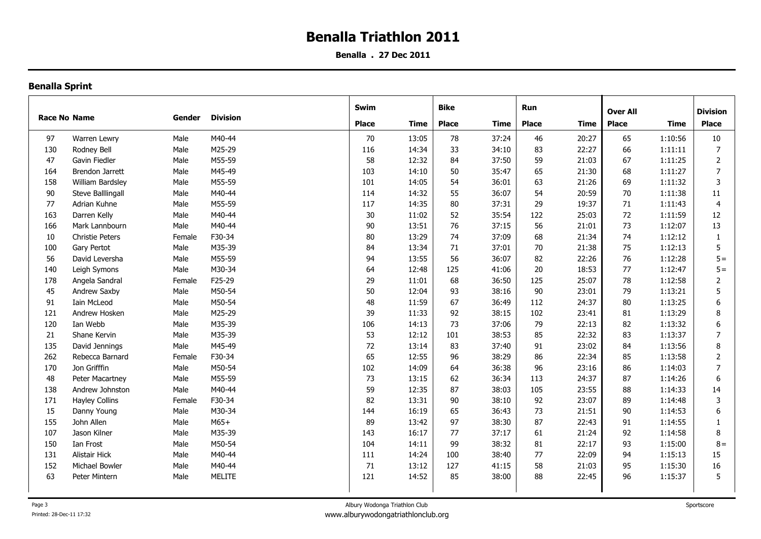**Benalla . 27 Dec 2011**

|                     |                         |        |                 | <b>Swim</b>  |       | Bike         |       | Run          |             |                 |         |                 |
|---------------------|-------------------------|--------|-----------------|--------------|-------|--------------|-------|--------------|-------------|-----------------|---------|-----------------|
| <b>Race No Name</b> |                         | Gender | <b>Division</b> |              |       |              |       |              |             | <b>Over All</b> |         | <b>Division</b> |
|                     |                         |        |                 | <b>Place</b> | Time  | <b>Place</b> | Time  | <b>Place</b> | <b>Time</b> | <b>Place</b>    | Time    | <b>Place</b>    |
| 97                  | Warren Lewry            | Male   | M40-44          | 70           | 13:05 | 78           | 37:24 | 46           | 20:27       | 65              | 1:10:56 | $10\,$          |
| 130                 | Rodney Bell             | Male   | M25-29          | 116          | 14:34 | 33           | 34:10 | 83           | 22:27       | 66              | 1:11:11 | $\overline{7}$  |
| 47                  | Gavin Fiedler           | Male   | M55-59          | 58           | 12:32 | 84           | 37:50 | 59           | 21:03       | 67              | 1:11:25 | $\overline{2}$  |
| 164                 | Brendon Jarrett         | Male   | M45-49          | 103          | 14:10 | 50           | 35:47 | 65           | 21:30       | 68              | 1:11:27 | $\overline{7}$  |
| 158                 | <b>William Bardsley</b> | Male   | M55-59          | 101          | 14:05 | 54           | 36:01 | 63           | 21:26       | 69              | 1:11:32 | 3               |
| 90                  | Steve Balllingall       | Male   | M40-44          | 114          | 14:32 | 55           | 36:07 | 54           | 20:59       | 70              | 1:11:38 | 11              |
| 77                  | Adrian Kuhne            | Male   | M55-59          | 117          | 14:35 | 80           | 37:31 | 29           | 19:37       | 71              | 1:11:43 | $\overline{4}$  |
| 163                 | Darren Kelly            | Male   | M40-44          | 30           | 11:02 | 52           | 35:54 | 122          | 25:03       | 72              | 1:11:59 | 12              |
| 166                 | Mark Lannbourn          | Male   | M40-44          | 90           | 13:51 | 76           | 37:15 | 56           | 21:01       | 73              | 1:12:07 | 13              |
| 10                  | <b>Christie Peters</b>  | Female | F30-34          | 80           | 13:29 | 74           | 37:09 | 68           | 21:34       | 74              | 1:12:12 | $\mathbf{1}$    |
| 100                 | Gary Pertot             | Male   | M35-39          | 84           | 13:34 | 71           | 37:01 | 70           | 21:38       | 75              | 1:12:13 | 5               |
| 56                  | David Leversha          | Male   | M55-59          | 94           | 13:55 | 56           | 36:07 | 82           | 22:26       | 76              | 1:12:28 | $5 =$           |
| 140                 | Leigh Symons            | Male   | M30-34          | 64           | 12:48 | 125          | 41:06 | 20           | 18:53       | 77              | 1:12:47 | $5 =$           |
| 178                 | Angela Sandral          | Female | F25-29          | 29           | 11:01 | 68           | 36:50 | 125          | 25:07       | 78              | 1:12:58 | $\overline{2}$  |
| 45                  | Andrew Saxby            | Male   | M50-54          | 50           | 12:04 | 93           | 38:16 | 90           | 23:01       | 79              | 1:13:21 | 5               |
| 91                  | Iain McLeod             | Male   | M50-54          | 48           | 11:59 | 67           | 36:49 | 112          | 24:37       | 80              | 1:13:25 | 6               |
| 121                 | Andrew Hosken           | Male   | M25-29          | 39           | 11:33 | 92           | 38:15 | 102          | 23:41       | 81              | 1:13:29 | 8               |
| 120                 | Ian Webb                | Male   | M35-39          | 106          | 14:13 | 73           | 37:06 | 79           | 22:13       | 82              | 1:13:32 | 6               |
| 21                  | Shane Kervin            | Male   | M35-39          | 53           | 12:12 | 101          | 38:53 | 85           | 22:32       | 83              | 1:13:37 | $\overline{7}$  |
| 135                 | David Jennings          | Male   | M45-49          | 72           | 13:14 | 83           | 37:40 | 91           | 23:02       | 84              | 1:13:56 | 8               |
| 262                 | Rebecca Barnard         | Female | F30-34          | 65           | 12:55 | 96           | 38:29 | 86           | 22:34       | 85              | 1:13:58 | 2               |
| 170                 | Jon Grifffin            | Male   | M50-54          | 102          | 14:09 | 64           | 36:38 | 96           | 23:16       | 86              | 1:14:03 | $\overline{7}$  |
| 48                  | Peter Macartney         | Male   | M55-59          | 73           | 13:15 | 62           | 36:34 | 113          | 24:37       | 87              | 1:14:26 | 6               |
| 138                 | Andrew Johnston         | Male   | M40-44          | 59           | 12:35 | 87           | 38:03 | 105          | 23:55       | 88              | 1:14:33 | 14              |
| 171                 | <b>Hayley Collins</b>   | Female | F30-34          | 82           | 13:31 | 90           | 38:10 | 92           | 23:07       | 89              | 1:14:48 | 3               |
| 15                  | Danny Young             | Male   | M30-34          | 144          | 16:19 | 65           | 36:43 | 73           | 21:51       | 90              | 1:14:53 | 6               |
| 155                 | John Allen              | Male   | $M65+$          | 89           | 13:42 | 97           | 38:30 | 87           | 22:43       | 91              | 1:14:55 |                 |
| 107                 | Jason Kilner            | Male   | M35-39          | 143          | 16:17 | 77           | 37:17 | 61           | 21:24       | 92              | 1:14:58 | 8               |
| 150                 | Ian Frost               | Male   | M50-54          | 104          | 14:11 | 99           | 38:32 | 81           | 22:17       | 93              | 1:15:00 | $8 =$           |
| 131                 | Alistair Hick           | Male   | M40-44          | 111          | 14:24 | 100          | 38:40 | 77           | 22:09       | 94              | 1:15:13 | 15              |
| 152                 | Michael Bowler          | Male   | M40-44          | 71           | 13:12 | 127          | 41:15 | 58           | 21:03       | 95              | 1:15:30 | 16              |
| 63                  | Peter Mintern           | Male   | <b>MELITE</b>   | 121          | 14:52 | 85           | 38:00 | 88           | 22:45       | 96              | 1:15:37 | 5               |
|                     |                         |        |                 |              |       |              |       |              |             |                 |         |                 |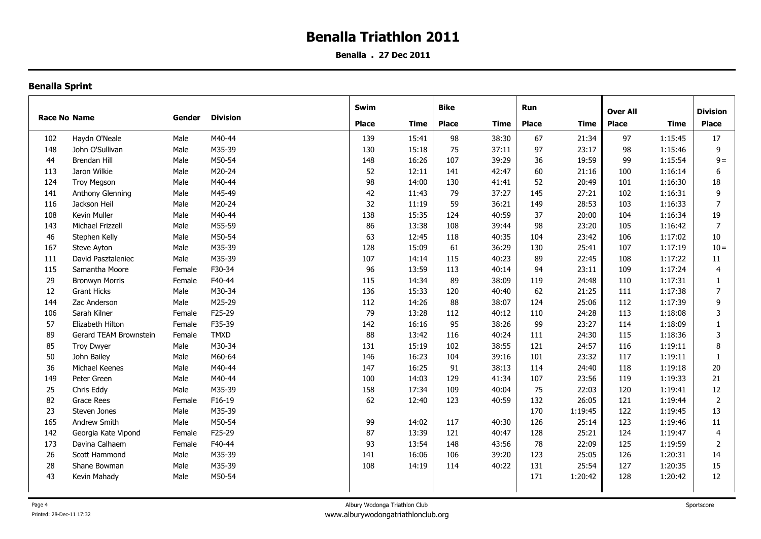**Benalla . 27 Dec 2011**

|                     |                        |        |                 | Swim         |       | <b>Bike</b>  |       | Run          |         |                 |             |                 |
|---------------------|------------------------|--------|-----------------|--------------|-------|--------------|-------|--------------|---------|-----------------|-------------|-----------------|
| <b>Race No Name</b> |                        | Gender | <b>Division</b> |              |       |              |       |              |         | <b>Over All</b> |             | <b>Division</b> |
|                     |                        |        |                 | <b>Place</b> | Time  | <b>Place</b> | Time  | <b>Place</b> | Time    | <b>Place</b>    | <b>Time</b> | <b>Place</b>    |
| 102                 | Haydn O'Neale          | Male   | M40-44          | 139          | 15:41 | 98           | 38:30 | 67           | 21:34   | 97              | 1:15:45     | 17              |
| 148                 | John O'Sullivan        | Male   | M35-39          | 130          | 15:18 | 75           | 37:11 | 97           | 23:17   | 98              | 1:15:46     | 9               |
| 44                  | <b>Brendan Hill</b>    | Male   | M50-54          | 148          | 16:26 | 107          | 39:29 | 36           | 19:59   | 99              | 1:15:54     | $9 =$           |
| 113                 | Jaron Wilkie           | Male   | M20-24          | 52           | 12:11 | 141          | 42:47 | 60           | 21:16   | 100             | 1:16:14     | 6               |
| 124                 | <b>Troy Megson</b>     | Male   | M40-44          | 98           | 14:00 | 130          | 41:41 | 52           | 20:49   | 101             | 1:16:30     | 18              |
| 141                 | Anthony Glenning       | Male   | M45-49          | 42           | 11:43 | 79           | 37:27 | 145          | 27:21   | 102             | 1:16:31     | 9               |
| 116                 | Jackson Heil           | Male   | M20-24          | 32           | 11:19 | 59           | 36:21 | 149          | 28:53   | 103             | 1:16:33     | $\overline{7}$  |
| 108                 | Kevin Muller           | Male   | M40-44          | 138          | 15:35 | 124          | 40:59 | 37           | 20:00   | 104             | 1:16:34     | 19              |
| 143                 | Michael Frizzell       | Male   | M55-59          | 86           | 13:38 | 108          | 39:44 | 98           | 23:20   | 105             | 1:16:42     | $\overline{7}$  |
| 46                  | Stephen Kelly          | Male   | M50-54          | 63           | 12:45 | 118          | 40:35 | 104          | 23:42   | 106             | 1:17:02     | 10              |
| 167                 | Steve Ayton            | Male   | M35-39          | 128          | 15:09 | 61           | 36:29 | 130          | 25:41   | 107             | 1:17:19     | $10 =$          |
| 111                 | David Pasztaleniec     | Male   | M35-39          | 107          | 14:14 | 115          | 40:23 | 89           | 22:45   | 108             | 1:17:22     | 11              |
| 115                 | Samantha Moore         | Female | F30-34          | 96           | 13:59 | 113          | 40:14 | 94           | 23:11   | 109             | 1:17:24     | 4               |
| 29                  | <b>Bronwyn Morris</b>  | Female | F40-44          | 115          | 14:34 | 89           | 38:09 | 119          | 24:48   | 110             | 1:17:31     | $\mathbf{1}$    |
| 12                  | <b>Grant Hicks</b>     | Male   | M30-34          | 136          | 15:33 | 120          | 40:40 | 62           | 21:25   | 111             | 1:17:38     | $\overline{7}$  |
| 144                 | Zac Anderson           | Male   | M25-29          | 112          | 14:26 | 88           | 38:07 | 124          | 25:06   | 112             | 1:17:39     | 9               |
| 106                 | Sarah Kilner           | Female | F25-29          | 79           | 13:28 | 112          | 40:12 | 110          | 24:28   | 113             | 1:18:08     | 3               |
| 57                  | Elizabeth Hilton       | Female | F35-39          | 142          | 16:16 | 95           | 38:26 | 99           | 23:27   | 114             | 1:18:09     | $\mathbf{1}$    |
| 89                  | Gerard TEAM Brownstein | Female | <b>TMXD</b>     | 88           | 13:42 | 116          | 40:24 | 111          | 24:30   | 115             | 1:18:36     | 3               |
| 85                  | <b>Troy Dwyer</b>      | Male   | M30-34          | 131          | 15:19 | 102          | 38:55 | 121          | 24:57   | 116             | 1:19:11     | 8               |
| 50                  | John Bailey            | Male   | M60-64          | 146          | 16:23 | 104          | 39:16 | 101          | 23:32   | 117             | 1:19:11     | 1               |
| 36                  | Michael Keenes         | Male   | M40-44          | 147          | 16:25 | 91           | 38:13 | 114          | 24:40   | 118             | 1:19:18     | 20              |
| 149                 | Peter Green            | Male   | M40-44          | 100          | 14:03 | 129          | 41:34 | 107          | 23:56   | 119             | 1:19:33     | 21              |
| 25                  | Chris Eddy             | Male   | M35-39          | 158          | 17:34 | 109          | 40:04 | 75           | 22:03   | 120             | 1:19:41     | 12              |
| 82                  | Grace Rees             | Female | F16-19          | 62           | 12:40 | 123          | 40:59 | 132          | 26:05   | 121             | 1:19:44     | $\mathbf 2$     |
| 23                  | Steven Jones           | Male   | M35-39          |              |       |              |       | 170          | 1:19:45 | 122             | 1:19:45     | 13              |
| 165                 | Andrew Smith           | Male   | M50-54          | 99           | 14:02 | 117          | 40:30 | 126          | 25:14   | 123             | 1:19:46     | 11              |
| 142                 | Georgia Kate Vipond    | Female | F25-29          | 87           | 13:39 | 121          | 40:47 | 128          | 25:21   | 124             | 1:19:47     | $\overline{4}$  |
| 173                 | Davina Calhaem         | Female | F40-44          | 93           | 13:54 | 148          | 43:56 | 78           | 22:09   | 125             | 1:19:59     | $\overline{2}$  |
| 26                  | Scott Hammond          | Male   | M35-39          | 141          | 16:06 | 106          | 39:20 | 123          | 25:05   | 126             | 1:20:31     | 14              |
| 28                  | Shane Bowman           | Male   | M35-39          | 108          | 14:19 | 114          | 40:22 | 131          | 25:54   | 127             | 1:20:35     | 15              |
| 43                  | Kevin Mahady           | Male   | M50-54          |              |       |              |       | 171          | 1:20:42 | 128             | 1:20:42     | 12              |
|                     |                        |        |                 |              |       |              |       |              |         |                 |             |                 |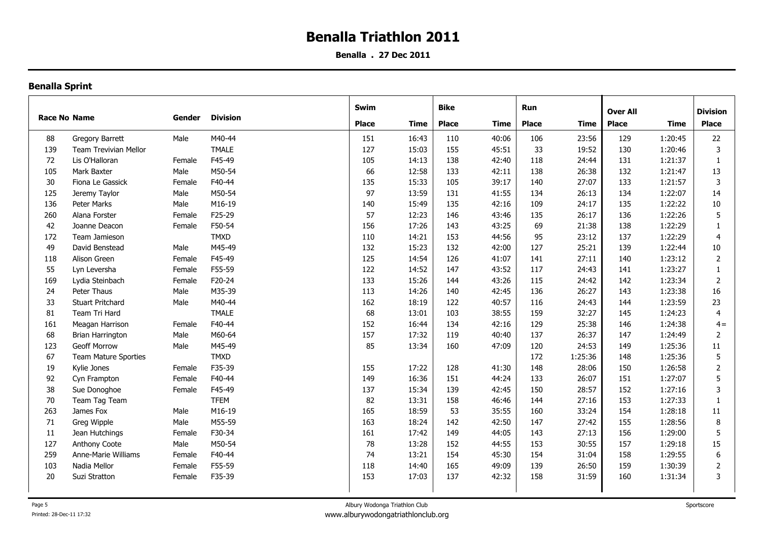**Benalla . 27 Dec 2011**

|                     |     |                              |                 | Swim         |              | <b>Bike</b> |              | Run   |              |                 |              |                 |                |
|---------------------|-----|------------------------------|-----------------|--------------|--------------|-------------|--------------|-------|--------------|-----------------|--------------|-----------------|----------------|
| <b>Race No Name</b> |     | Gender                       | <b>Division</b> |              |              |             |              |       |              | <b>Over All</b> |              | <b>Division</b> |                |
|                     |     |                              |                 |              | <b>Place</b> | Time        | <b>Place</b> | Time  | <b>Place</b> | <b>Time</b>     | <b>Place</b> | Time            | <b>Place</b>   |
|                     | 88  | Gregory Barrett              | Male            | M40-44       | 151          | 16:43       | 110          | 40:06 | 106          | 23:56           | 129          | 1:20:45         | 22             |
|                     | 139 | <b>Team Trevivian Mellor</b> |                 | <b>TMALE</b> | 127          | 15:03       | 155          | 45:51 | 33           | 19:52           | 130          | 1:20:46         | 3              |
|                     | 72  | Lis O'Halloran               | Female          | F45-49       | 105          | 14:13       | 138          | 42:40 | 118          | 24:44           | 131          | 1:21:37         | 1              |
|                     | 105 | Mark Baxter                  | Male            | M50-54       | 66           | 12:58       | 133          | 42:11 | 138          | 26:38           | 132          | 1:21:47         | 13             |
|                     | 30  | Fiona Le Gassick             | Female          | F40-44       | 135          | 15:33       | 105          | 39:17 | 140          | 27:07           | 133          | 1:21:57         | 3              |
|                     | 125 | Jeremy Taylor                | Male            | M50-54       | 97           | 13:59       | 131          | 41:55 | 134          | 26:13           | 134          | 1:22:07         | 14             |
|                     | 136 | Peter Marks                  | Male            | M16-19       | 140          | 15:49       | 135          | 42:16 | 109          | 24:17           | 135          | 1:22:22         | 10             |
|                     | 260 | Alana Forster                | Female          | F25-29       | 57           | 12:23       | 146          | 43:46 | 135          | 26:17           | 136          | 1:22:26         | 5              |
|                     | 42  | Joanne Deacon                | Female          | F50-54       | 156          | 17:26       | 143          | 43:25 | 69           | 21:38           | 138          | 1:22:29         |                |
|                     | 172 | Team Jamieson                |                 | <b>TMXD</b>  | 110          | 14:21       | 153          | 44:56 | 95           | 23:12           | 137          | 1:22:29         | 4              |
|                     | 49  | David Benstead               | Male            | M45-49       | 132          | 15:23       | 132          | 42:00 | 127          | 25:21           | 139          | 1:22:44         | 10             |
|                     | 118 | Alison Green                 | Female          | F45-49       | 125          | 14:54       | 126          | 41:07 | 141          | 27:11           | 140          | 1:23:12         | $\overline{2}$ |
|                     | 55  | Lyn Leversha                 | Female          | F55-59       | 122          | 14:52       | 147          | 43:52 | 117          | 24:43           | 141          | 1:23:27         | 1              |
|                     | 169 | Lydia Steinbach              | Female          | F20-24       | 133          | 15:26       | 144          | 43:26 | 115          | 24:42           | 142          | 1:23:34         | $\overline{2}$ |
|                     | 24  | Peter Thaus                  | Male            | M35-39       | 113          | 14:26       | 140          | 42:45 | 136          | 26:27           | 143          | 1:23:38         | 16             |
|                     | 33  | <b>Stuart Pritchard</b>      | Male            | M40-44       | 162          | 18:19       | 122          | 40:57 | 116          | 24:43           | 144          | 1:23:59         | 23             |
|                     | 81  | Team Tri Hard                |                 | <b>TMALE</b> | 68           | 13:01       | 103          | 38:55 | 159          | 32:27           | 145          | 1:24:23         | $\overline{4}$ |
|                     | 161 | Meagan Harrison              | Female          | F40-44       | 152          | 16:44       | 134          | 42:16 | 129          | 25:38           | 146          | 1:24:38         | $4=$           |
|                     | 68  | <b>Brian Harrington</b>      | Male            | M60-64       | 157          | 17:32       | 119          | 40:40 | 137          | 26:37           | 147          | 1:24:49         | $\overline{2}$ |
|                     | 123 | <b>Geoff Morrow</b>          | Male            | M45-49       | 85           | 13:34       | 160          | 47:09 | 120          | 24:53           | 149          | 1:25:36         | 11             |
|                     | 67  | Team Mature Sporties         |                 | <b>TMXD</b>  |              |             |              |       | 172          | 1:25:36         | 148          | 1:25:36         | 5              |
|                     | 19  | Kylie Jones                  | Female          | F35-39       | 155          | 17:22       | 128          | 41:30 | 148          | 28:06           | 150          | 1:26:58         | $\overline{2}$ |
|                     | 92  | Cyn Frampton                 | Female          | F40-44       | 149          | 16:36       | 151          | 44:24 | 133          | 26:07           | 151          | 1:27:07         | 5              |
|                     | 38  | Sue Donoghoe                 | Female          | F45-49       | 137          | 15:34       | 139          | 42:45 | 150          | 28:57           | 152          | 1:27:16         | 3              |
|                     | 70  | Team Tag Team                |                 | <b>TFEM</b>  | 82           | 13:31       | 158          | 46:46 | 144          | 27:16           | 153          | 1:27:33         | 1              |
|                     | 263 | James Fox                    | Male            | M16-19       | 165          | 18:59       | 53           | 35:55 | 160          | 33:24           | 154          | 1:28:18         | 11             |
|                     | 71  | Greg Wipple                  | Male            | M55-59       | 163          | 18:24       | 142          | 42:50 | 147          | 27:42           | 155          | 1:28:56         | 8              |
|                     | 11  | Jean Hutchings               | Female          | F30-34       | 161          | 17:42       | 149          | 44:05 | 143          | 27:13           | 156          | 1:29:00         | 5              |
|                     | 127 | Anthony Coote                | Male            | M50-54       | 78           | 13:28       | 152          | 44:55 | 153          | 30:55           | 157          | 1:29:18         | 15             |
|                     | 259 | Anne-Marie Williams          | Female          | F40-44       | 74           | 13:21       | 154          | 45:30 | 154          | 31:04           | 158          | 1:29:55         | 6              |
|                     | 103 | Nadia Mellor                 | Female          | F55-59       | 118          | 14:40       | 165          | 49:09 | 139          | 26:50           | 159          | 1:30:39         | $\overline{2}$ |
|                     | 20  | Suzi Stratton                | Female          | F35-39       | 153          | 17:03       | 137          | 42:32 | 158          | 31:59           | 160          | 1:31:34         | 3              |
|                     |     |                              |                 |              |              |             |              |       |              |                 |              |                 |                |